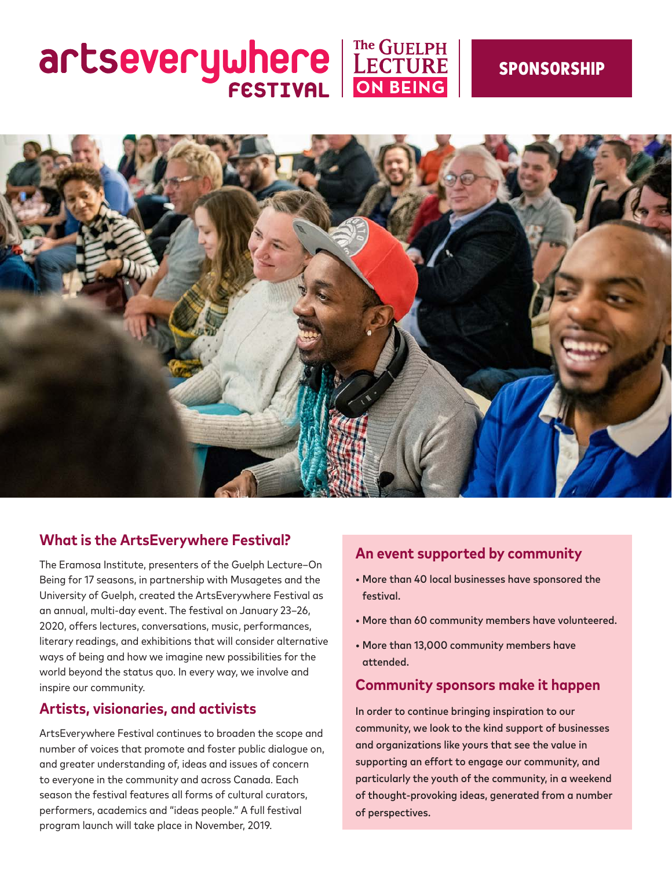# artseverywhere EECTURE



#### **What is the ArtsEverywhere Festival?**

The Eramosa Institute, presenters of the Guelph Lecture–On Being for 17 seasons, in partnership with Musagetes and the University of Guelph, created the ArtsEverywhere Festival as an annual, multi-day event. The festival on January 23–26, 2020, offers lectures, conversations, music, performances, literary readings, and exhibitions that will consider alternative ways of being and how we imagine new possibilities for the world beyond the status quo. In every way, we involve and inspire our community.

#### **Artists, visionaries, and activists**

ArtsEverywhere Festival continues to broaden the scope and number of voices that promote and foster public dialogue on, and greater understanding of, ideas and issues of concern to everyone in the community and across Canada. Each season the festival features all forms of cultural curators, performers, academics and "ideas people." A full festival program launch will take place in November, 2019.

#### **An event supported by community**

- More than 40 local businesses have sponsored the festival.
- More than 60 community members have volunteered.
- More than 13,000 community members have attended.

#### **Community sponsors make it happen**

In order to continue bringing inspiration to our community, we look to the kind support of businesses and organizations like yours that see the value in supporting an effort to engage our community, and particularly the youth of the community, in a weekend of thought-provoking ideas, generated from a number of perspectives.